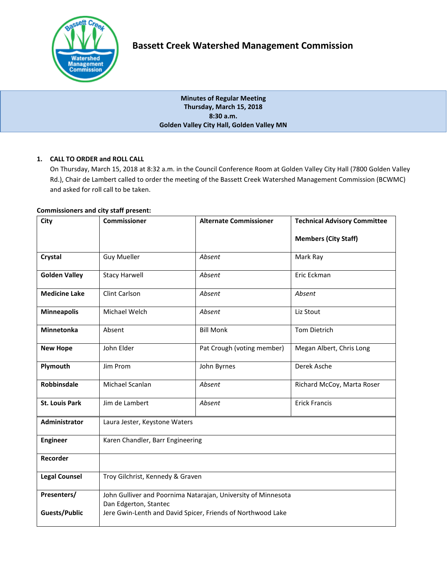

**Minutes of Regular Meeting Thursday, March 15, 2018 8:30 a.m. Golden Valley City Hall, Golden Valley MN**

# **1. CALL TO ORDER and ROLL CALL**

On Thursday, March 15, 2018 at 8:32 a.m. in the Council Conference Room at Golden Valley City Hall (7800 Golden Valley Rd.), Chair de Lambert called to order the meeting of the Bassett Creek Watershed Management Commission (BCWMC) and asked for roll call to be taken.

# **Commissioners and city staff present:**

| City                  | <b>Commissioner</b>                                                                    | <b>Alternate Commissioner</b> | <b>Technical Advisory Committee</b> |
|-----------------------|----------------------------------------------------------------------------------------|-------------------------------|-------------------------------------|
|                       |                                                                                        |                               | <b>Members (City Staff)</b>         |
| Crystal               | <b>Guy Mueller</b>                                                                     | Absent                        | Mark Ray                            |
| <b>Golden Valley</b>  | <b>Stacy Harwell</b>                                                                   | Absent                        | Eric Eckman                         |
| <b>Medicine Lake</b>  | Clint Carlson                                                                          | Absent                        | Absent                              |
| <b>Minneapolis</b>    | Michael Welch                                                                          | Absent                        | Liz Stout                           |
| <b>Minnetonka</b>     | Absent                                                                                 | <b>Bill Monk</b>              | <b>Tom Dietrich</b>                 |
| <b>New Hope</b>       | John Elder                                                                             | Pat Crough (voting member)    | Megan Albert, Chris Long            |
| Plymouth              | Jim Prom                                                                               | John Byrnes                   | Derek Asche                         |
| <b>Robbinsdale</b>    | Michael Scanlan                                                                        | Absent                        | Richard McCoy, Marta Roser          |
| <b>St. Louis Park</b> | Jim de Lambert                                                                         | Absent                        | <b>Erick Francis</b>                |
| Administrator         | Laura Jester, Keystone Waters                                                          |                               |                                     |
| <b>Engineer</b>       | Karen Chandler, Barr Engineering                                                       |                               |                                     |
| Recorder              |                                                                                        |                               |                                     |
| <b>Legal Counsel</b>  | Troy Gilchrist, Kennedy & Graven                                                       |                               |                                     |
| Presenters/           | John Gulliver and Poornima Natarajan, University of Minnesota<br>Dan Edgerton, Stantec |                               |                                     |
| <b>Guests/Public</b>  | Jere Gwin-Lenth and David Spicer, Friends of Northwood Lake                            |                               |                                     |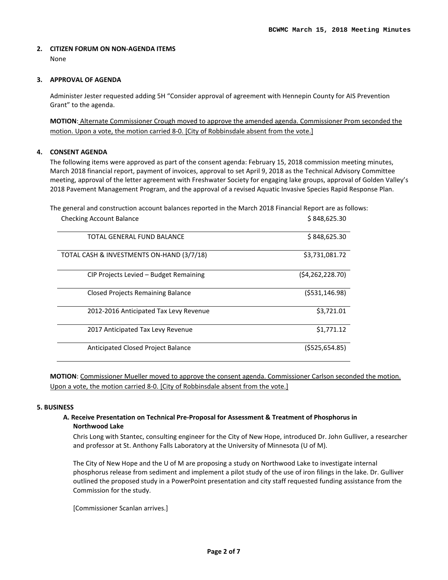# **2. CITIZEN FORUM ON NON-AGENDA ITEMS**

None

# **3. APPROVAL OF AGENDA**

Administer Jester requested adding 5H "Consider approval of agreement with Hennepin County for AIS Prevention Grant" to the agenda.

**MOTION**: Alternate Commissioner Crough moved to approve the amended agenda. Commissioner Prom seconded the motion. Upon a vote, the motion carried 8-0. [City of Robbinsdale absent from the vote.]

# **4. CONSENT AGENDA**

The following items were approved as part of the consent agenda: February 15, 2018 commission meeting minutes, March 2018 financial report, payment of invoices, approval to set April 9, 2018 as the Technical Advisory Committee meeting, approval of the letter agreement with Freshwater Society for engaging lake groups, approval of Golden Valley's 2018 Pavement Management Program, and the approval of a revised Aquatic Invasive Species Rapid Response Plan.

The general and construction account balances reported in the March 2018 Financial Report are as follows: Checking Account Balance **\$ 848,625.30**  $\ddot{\text{S}}$ 

| TOTAL GENERAL FUND BALANCE                | \$848,625.30      |
|-------------------------------------------|-------------------|
| TOTAL CASH & INVESTMENTS ON-HAND (3/7/18) | \$3,731,081.72    |
| CIP Projects Levied - Budget Remaining    | (\$4,262,228.70)  |
| <b>Closed Projects Remaining Balance</b>  | (5531, 146.98)    |
| 2012-2016 Anticipated Tax Levy Revenue    | \$3,721.01        |
| 2017 Anticipated Tax Levy Revenue         | \$1.771.12        |
| Anticipated Closed Project Balance        | $($ \$525,654.85) |

**MOTION**: Commissioner Mueller moved to approve the consent agenda. Commissioner Carlson seconded the motion. Upon a vote, the motion carried 8-0. [City of Robbinsdale absent from the vote.]

# **5. BUSINESS**

# **A. Receive Presentation on Technical Pre-Proposal for Assessment & Treatment of Phosphorus in Northwood Lake**

Chris Long with Stantec, consulting engineer for the City of New Hope, introduced Dr. John Gulliver, a researcher and professor at St. Anthony Falls Laboratory at the University of Minnesota (U of M).

The City of New Hope and the U of M are proposing a study on Northwood Lake to investigate internal phosphorus release from sediment and implement a pilot study of the use of iron filings in the lake. Dr. Gulliver outlined the proposed study in a PowerPoint presentation and city staff requested funding assistance from the Commission for the study.

[Commissioner Scanlan arrives.]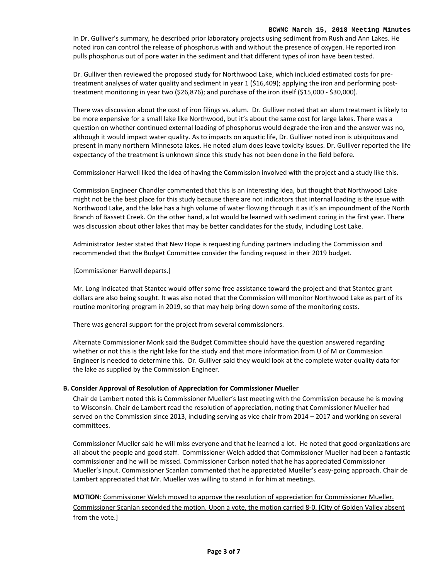#### **BCWMC March 15, 2018 Meeting Minutes**

In Dr. Gulliver's summary, he described prior laboratory projects using sediment from Rush and Ann Lakes. He noted iron can control the release of phosphorus with and without the presence of oxygen. He reported iron pulls phosphorus out of pore water in the sediment and that different types of iron have been tested.

Dr. Gulliver then reviewed the proposed study for Northwood Lake, which included estimated costs for pretreatment analyses of water quality and sediment in year 1 (\$16,409); applying the iron and performing posttreatment monitoring in year two (\$26,876); and purchase of the iron itself (\$15,000 - \$30,000).

There was discussion about the cost of iron filings vs. alum. Dr. Gulliver noted that an alum treatment is likely to be more expensive for a small lake like Northwood, but it's about the same cost for large lakes. There was a question on whether continued external loading of phosphorus would degrade the iron and the answer was no, although it would impact water quality. As to impacts on aquatic life, Dr. Gulliver noted iron is ubiquitous and present in many northern Minnesota lakes. He noted alum does leave toxicity issues. Dr. Gulliver reported the life expectancy of the treatment is unknown since this study has not been done in the field before.

Commissioner Harwell liked the idea of having the Commission involved with the project and a study like this.

Commission Engineer Chandler commented that this is an interesting idea, but thought that Northwood Lake might not be the best place for this study because there are not indicators that internal loading is the issue with Northwood Lake, and the lake has a high volume of water flowing through it as it's an impoundment of the North Branch of Bassett Creek. On the other hand, a lot would be learned with sediment coring in the first year. There was discussion about other lakes that may be better candidates for the study, including Lost Lake.

Administrator Jester stated that New Hope is requesting funding partners including the Commission and recommended that the Budget Committee consider the funding request in their 2019 budget.

### [Commissioner Harwell departs.]

Mr. Long indicated that Stantec would offer some free assistance toward the project and that Stantec grant dollars are also being sought. It was also noted that the Commission will monitor Northwood Lake as part of its routine monitoring program in 2019, so that may help bring down some of the monitoring costs.

There was general support for the project from several commissioners.

Alternate Commissioner Monk said the Budget Committee should have the question answered regarding whether or not this is the right lake for the study and that more information from U of M or Commission Engineer is needed to determine this. Dr. Gulliver said they would look at the complete water quality data for the lake as supplied by the Commission Engineer.

### **B. Consider Approval of Resolution of Appreciation for Commissioner Mueller**

Chair de Lambert noted this is Commissioner Mueller's last meeting with the Commission because he is moving to Wisconsin. Chair de Lambert read the resolution of appreciation, noting that Commissioner Mueller had served on the Commission since 2013, including serving as vice chair from 2014 – 2017 and working on several committees.

Commissioner Mueller said he will miss everyone and that he learned a lot. He noted that good organizations are all about the people and good staff. Commissioner Welch added that Commissioner Mueller had been a fantastic commissioner and he will be missed. Commissioner Carlson noted that he has appreciated Commissioner Mueller's input. Commissioner Scanlan commented that he appreciated Mueller's easy-going approach. Chair de Lambert appreciated that Mr. Mueller was willing to stand in for him at meetings.

**MOTION**: Commissioner Welch moved to approve the resolution of appreciation for Commissioner Mueller. Commissioner Scanlan seconded the motion. Upon a vote, the motion carried 8-0. [City of Golden Valley absent from the vote.]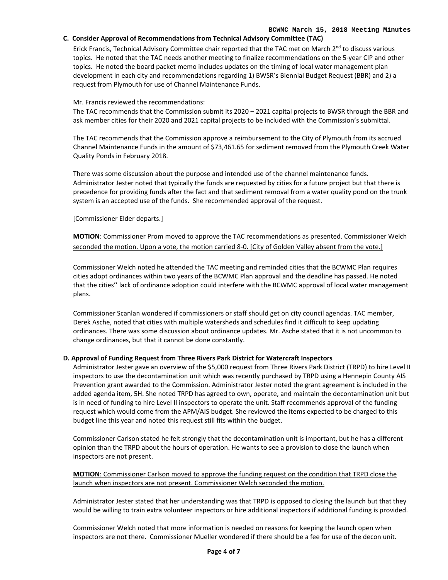# **C. Consider Approval of Recommendations from Technical Advisory Committee (TAC)**

Erick Francis, Technical Advisory Committee chair reported that the TAC met on March 2<sup>nd</sup> to discuss various topics. He noted that the TAC needs another meeting to finalize recommendations on the 5-year CIP and other topics. He noted the board packet memo includes updates on the timing of local water management plan development in each city and recommendations regarding 1) BWSR's Biennial Budget Request (BBR) and 2) a request from Plymouth for use of Channel Maintenance Funds.

Mr. Francis reviewed the recommendations:

The TAC recommends that the Commission submit its 2020 – 2021 capital projects to BWSR through the BBR and ask member cities for their 2020 and 2021 capital projects to be included with the Commission's submittal.

The TAC recommends that the Commission approve a reimbursement to the City of Plymouth from its accrued Channel Maintenance Funds in the amount of \$73,461.65 for sediment removed from the Plymouth Creek Water Quality Ponds in February 2018.

There was some discussion about the purpose and intended use of the channel maintenance funds. Administrator Jester noted that typically the funds are requested by cities for a future project but that there is precedence for providing funds after the fact and that sediment removal from a water quality pond on the trunk system is an accepted use of the funds. She recommended approval of the request.

[Commissioner Elder departs.]

**MOTION**: Commissioner Prom moved to approve the TAC recommendations as presented. Commissioner Welch seconded the motion. Upon a vote, the motion carried 8-0. [City of Golden Valley absent from the vote.]

Commissioner Welch noted he attended the TAC meeting and reminded cities that the BCWMC Plan requires cities adopt ordinances within two years of the BCWMC Plan approval and the deadline has passed. He noted that the cities'' lack of ordinance adoption could interfere with the BCWMC approval of local water management plans.

Commissioner Scanlan wondered if commissioners or staff should get on city council agendas. TAC member, Derek Asche, noted that cities with multiple watersheds and schedules find it difficult to keep updating ordinances. There was some discussion about ordinance updates. Mr. Asche stated that it is not uncommon to change ordinances, but that it cannot be done constantly.

### **D. Approval of Funding Request from Three Rivers Park District for Watercraft Inspectors**

Administrator Jester gave an overview of the \$5,000 request from Three Rivers Park District (TRPD) to hire Level II inspectors to use the decontamination unit which was recently purchased by TRPD using a Hennepin County AIS Prevention grant awarded to the Commission. Administrator Jester noted the grant agreement is included in the added agenda item, 5H. She noted TRPD has agreed to own, operate, and maintain the decontamination unit but is in need of funding to hire Level II inspectors to operate the unit. Staff recommends approval of the funding request which would come from the APM/AIS budget. She reviewed the items expected to be charged to this budget line this year and noted this request still fits within the budget.

Commissioner Carlson stated he felt strongly that the decontamination unit is important, but he has a different opinion than the TRPD about the hours of operation. He wants to see a provision to close the launch when inspectors are not present.

**MOTION**: Commissioner Carlson moved to approve the funding request on the condition that TRPD close the launch when inspectors are not present. Commissioner Welch seconded the motion.

Administrator Jester stated that her understanding was that TRPD is opposed to closing the launch but that they would be willing to train extra volunteer inspectors or hire additional inspectors if additional funding is provided.

Commissioner Welch noted that more information is needed on reasons for keeping the launch open when inspectors are not there. Commissioner Mueller wondered if there should be a fee for use of the decon unit.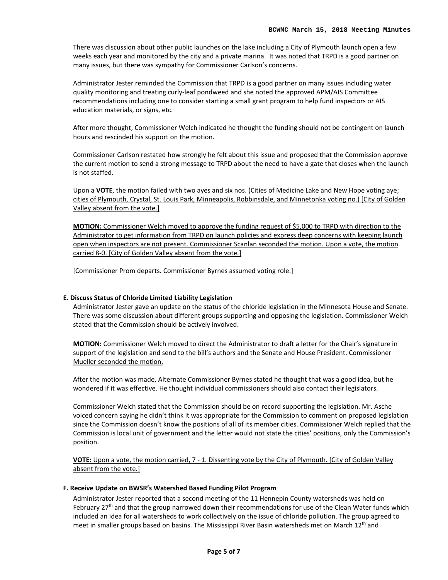There was discussion about other public launches on the lake including a City of Plymouth launch open a few weeks each year and monitored by the city and a private marina. It was noted that TRPD is a good partner on many issues, but there was sympathy for Commissioner Carlson's concerns.

Administrator Jester reminded the Commission that TRPD is a good partner on many issues including water quality monitoring and treating curly-leaf pondweed and she noted the approved APM/AIS Committee recommendations including one to consider starting a small grant program to help fund inspectors or AIS education materials, or signs, etc.

After more thought, Commissioner Welch indicated he thought the funding should not be contingent on launch hours and rescinded his support on the motion.

Commissioner Carlson restated how strongly he felt about this issue and proposed that the Commission approve the current motion to send a strong message to TRPD about the need to have a gate that closes when the launch is not staffed.

Upon a **VOTE**, the motion failed with two ayes and six nos. (Cities of Medicine Lake and New Hope voting aye; cities of Plymouth, Crystal, St. Louis Park, Minneapolis, Robbinsdale, and Minnetonka voting no.) [City of Golden Valley absent from the vote.]

**MOTION:** Commissioner Welch moved to approve the funding request of \$5,000 to TRPD with direction to the Administrator to get information from TRPD on launch policies and express deep concerns with keeping launch open when inspectors are not present. Commissioner Scanlan seconded the motion. Upon a vote, the motion carried 8-0. [City of Golden Valley absent from the vote.]

[Commissioner Prom departs. Commissioner Byrnes assumed voting role.]

# **E. Discuss Status of Chloride Limited Liability Legislation**

Administrator Jester gave an update on the status of the chloride legislation in the Minnesota House and Senate. There was some discussion about different groups supporting and opposing the legislation. Commissioner Welch stated that the Commission should be actively involved.

**MOTION:** Commissioner Welch moved to direct the Administrator to draft a letter for the Chair's signature in support of the legislation and send to the bill's authors and the Senate and House President. Commissioner Mueller seconded the motion.

After the motion was made, Alternate Commissioner Byrnes stated he thought that was a good idea, but he wondered if it was effective. He thought individual commissioners should also contact their legislators.

Commissioner Welch stated that the Commission should be on record supporting the legislation. Mr. Asche voiced concern saying he didn't think it was appropriate for the Commission to comment on proposed legislation since the Commission doesn't know the positions of all of its member cities. Commissioner Welch replied that the Commission is local unit of government and the letter would not state the cities' positions, only the Commission's position.

**VOTE:** Upon a vote, the motion carried, 7 - 1. Dissenting vote by the City of Plymouth. [City of Golden Valley absent from the vote.]

### **F. Receive Update on BWSR's Watershed Based Funding Pilot Program**

Administrator Jester reported that a second meeting of the 11 Hennepin County watersheds was held on February 27<sup>th</sup> and that the group narrowed down their recommendations for use of the Clean Water funds which included an idea for all watersheds to work collectively on the issue of chloride pollution. The group agreed to meet in smaller groups based on basins. The Mississippi River Basin watersheds met on March  $12<sup>th</sup>$  and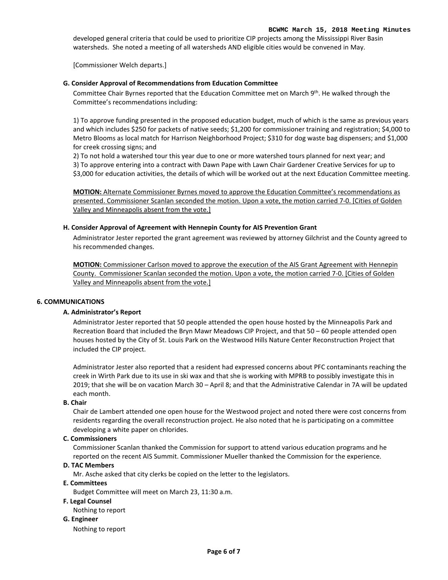#### **BCWMC March 15, 2018 Meeting Minutes**

developed general criteria that could be used to prioritize CIP projects among the Mississippi River Basin watersheds. She noted a meeting of all watersheds AND eligible cities would be convened in May.

[Commissioner Welch departs.]

## **G. Consider Approval of Recommendations from Education Committee**

Committee Chair Byrnes reported that the Education Committee met on March 9th. He walked through the Committee's recommendations including:

1) To approve funding presented in the proposed education budget, much of which is the same as previous years and which includes \$250 for packets of native seeds; \$1,200 for commissioner training and registration; \$4,000 to Metro Blooms as local match for Harrison Neighborhood Project; \$310 for dog waste bag dispensers; and \$1,000 for creek crossing signs; and

2) To not hold a watershed tour this year due to one or more watershed tours planned for next year; and

3) To approve entering into a contract with Dawn Pape with Lawn Chair Gardener Creative Services for up to \$3,000 for education activities, the details of which will be worked out at the next Education Committee meeting.

**MOTION:** Alternate Commissioner Byrnes moved to approve the Education Committee's recommendations as presented. Commissioner Scanlan seconded the motion. Upon a vote, the motion carried 7-0. [Cities of Golden Valley and Minneapolis absent from the vote.]

## **H. Consider Approval of Agreement with Hennepin County for AIS Prevention Grant**

Administrator Jester reported the grant agreement was reviewed by attorney Gilchrist and the County agreed to his recommended changes.

**MOTION:** Commissioner Carlson moved to approve the execution of the AIS Grant Agreement with Hennepin County. Commissioner Scanlan seconded the motion. Upon a vote, the motion carried 7-0. [Cities of Golden Valley and Minneapolis absent from the vote.]

### **6. COMMUNICATIONS**

# **A. Administrator's Report**

Administrator Jester reported that 50 people attended the open house hosted by the Minneapolis Park and Recreation Board that included the Bryn Mawr Meadows CIP Project, and that 50 – 60 people attended open houses hosted by the City of St. Louis Park on the Westwood Hills Nature Center Reconstruction Project that included the CIP project.

Administrator Jester also reported that a resident had expressed concerns about PFC contaminants reaching the creek in Wirth Park due to its use in ski wax and that she is working with MPRB to possibly investigate this in 2019; that she will be on vacation March 30 – April 8; and that the Administrative Calendar in 7A will be updated each month.

# **B. Chair**

Chair de Lambert attended one open house for the Westwood project and noted there were cost concerns from residents regarding the overall reconstruction project. He also noted that he is participating on a committee developing a white paper on chlorides.

### **C. Commissioners**

Commissioner Scanlan thanked the Commission for support to attend various education programs and he reported on the recent AIS Summit. Commissioner Mueller thanked the Commission for the experience.

### **D. TAC Members**

Mr. Asche asked that city clerks be copied on the letter to the legislators.

# **E. Committees**

Budget Committee will meet on March 23, 11:30 a.m.

### **F. Legal Counsel**

Nothing to report

## **G. Engineer**

Nothing to report